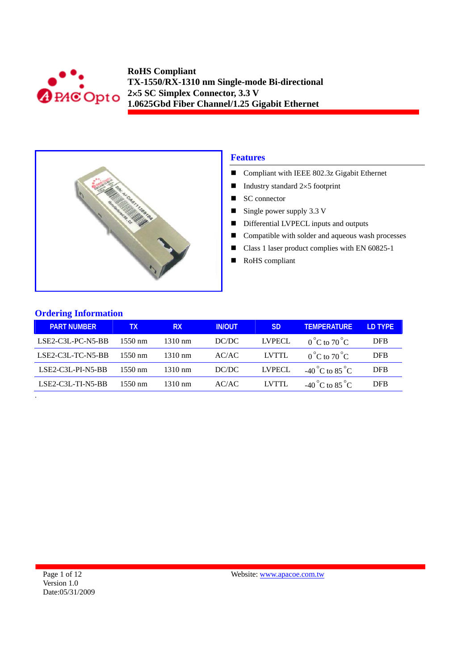



## **Features**

- Compliant with IEEE 802.3z Gigabit Ethernet
- Industry standard  $2\times 5$  footprint
- $\blacksquare$  SC connector
- $\blacksquare$  Single power supply 3.3 V
- Differential LVPECL inputs and outputs
- Compatible with solder and aqueous wash processes
- Class 1 laser product complies with EN 60825-1
- RoHS compliant

## **Ordering Information**

| <b>PART NUMBER</b>  | TΧ                | <b>RX</b>         | <b>IN/OUT</b> | <b>SD</b>     | <b>TEMPERATURE</b>                      | <b>ID TYPE</b> |
|---------------------|-------------------|-------------------|---------------|---------------|-----------------------------------------|----------------|
| $LSE2-C3L-PC-NS-BB$ | $1550 \text{ nm}$ | $1310 \text{ nm}$ | DC/DC         | <b>LVPECL</b> | $0^{\circ}$ C to $70^{\circ}$ C         | <b>DFB</b>     |
| LSE2-C3L-TC-N5-BB   | $1550 \text{ nm}$ | $1310 \text{ nm}$ | AC/AC         | LVTTL         | $0^{\circ}$ C to $70^{\circ}$ C         | <b>DFB</b>     |
| $LSE2-C3L-PI-NS-BB$ | $1550 \text{ nm}$ | $1310 \text{ nm}$ | DC/DC         | LVPECL        | -40 <sup>°</sup> C to 85 <sup>°</sup> C | DFB            |
| LSE2-C3L-TI-N5-BB   | $1550 \text{ nm}$ | $1310 \text{ nm}$ | AC/AC         | LVTTL         | $-40^{\circ}$ C to $85^{\circ}$ C       | <b>DFB</b>     |
|                     |                   |                   |               |               |                                         |                |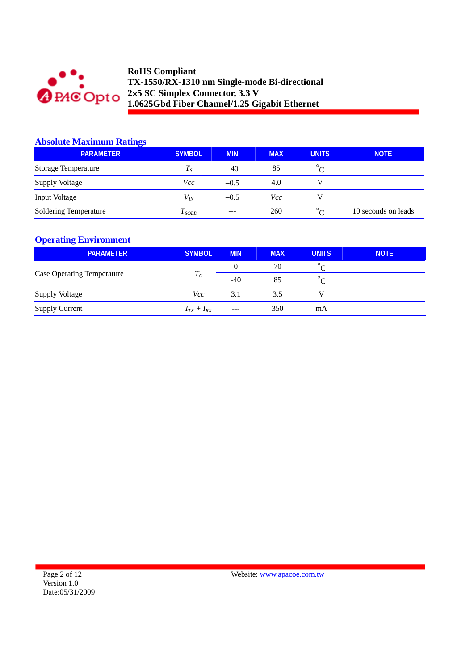

### **Absolute Maximum Ratings**

| <b>PARAMETER</b>           | <b>SYMBOL</b>           | <b>MIN</b> | <b>MAX</b> | <b>UNITS</b> | <b>NOTE</b>         |
|----------------------------|-------------------------|------------|------------|--------------|---------------------|
| <b>Storage Temperature</b> | $T_{S}$                 | $-40$      | 85         | $\sqrt{ }$   |                     |
| <b>Supply Voltage</b>      | Vcc                     | $-0.5$     | 4.0        |              |                     |
| Input Voltage              | $V_{\textit{\tiny IN}}$ | $-0.5$     | Vcc        |              |                     |
| Soldering Temperature      | $I_{SOLD}$              | $---$      | 260        | $\circ$      | 10 seconds on leads |

## **Operating Environment**

| <b>PARAMETER</b>                  | <b>SYMBOL</b>     | <b>MIN</b> | <b>MAX</b> | <b>UNITS</b> | <b>NOTE</b> |
|-----------------------------------|-------------------|------------|------------|--------------|-------------|
|                                   | $T_C$             | 0          | 70         | $\circ$      |             |
| <b>Case Operating Temperature</b> |                   | $-40$      | 85         | $\circ$      |             |
| <b>Supply Voltage</b>             | Vcc-              | 3.1        | 3.5        |              |             |
| <b>Supply Current</b>             | $I_{TX} + I_{RX}$ | $---$      | 350        | mA           |             |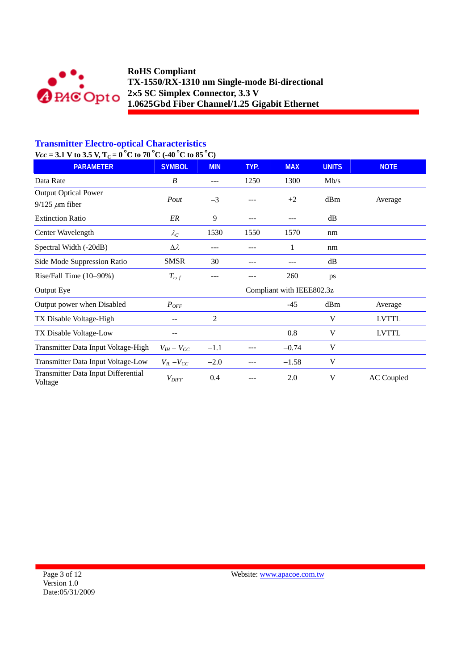

# **Transmitter Electro-optical Characteristics**

 $Vcc = 3.1$  V to 3.5 V, T<sub>C</sub> = 0<sup>°</sup>C to 70<sup>°</sup>C (-40<sup>°</sup>C to 85<sup>°</sup>C)

| <b>PARAMETER</b>                                     | <b>SYMBOL</b>     | <b>MIN</b>     | TYP. | <b>MAX</b>                | <b>UNITS</b> | <b>NOTE</b>       |
|------------------------------------------------------|-------------------|----------------|------|---------------------------|--------------|-------------------|
| Data Rate                                            | B                 |                | 1250 | 1300                      | Mb/s         |                   |
| <b>Output Optical Power</b><br>$9/125 \ \mu m$ fiber | Pout              | $-3$           |      | $+2$                      | dBm          | Average           |
| <b>Extinction Ratio</b>                              | ER                | 9              |      |                           | dB           |                   |
| Center Wavelength                                    | $\lambda_C$       | 1530           | 1550 | 1570                      | nm           |                   |
| Spectral Width (-20dB)                               | $\Delta \lambda$  | ---            |      | 1                         | nm           |                   |
| Side Mode Suppression Ratio                          | <b>SMSR</b>       | 30             |      |                           | dB           |                   |
| Rise/Fall Time (10-90%)                              | $T_{r,f}$         | ---            |      | 260                       | ps           |                   |
| <b>Output Eye</b>                                    |                   |                |      | Compliant with IEEE802.3z |              |                   |
| Output power when Disabled                           | $P_{OFF}$         |                |      | $-45$                     | dBm          | Average           |
| TX Disable Voltage-High                              |                   | $\overline{2}$ |      |                           | V            | <b>LVTTL</b>      |
| TX Disable Voltage-Low                               |                   |                |      | 0.8                       | V            | <b>LVTTL</b>      |
| Transmitter Data Input Voltage-High                  | $V_{IH} - V_{CC}$ | $-1.1$         |      | $-0.74$                   | V            |                   |
| Transmitter Data Input Voltage-Low                   | $V_{IL} - V_{CC}$ | $-2.0$         |      | $-1.58$                   | V            |                   |
| Transmitter Data Input Differential<br>Voltage       | $V_{\text{DIFF}}$ | 0.4            |      | 2.0                       | V            | <b>AC</b> Coupled |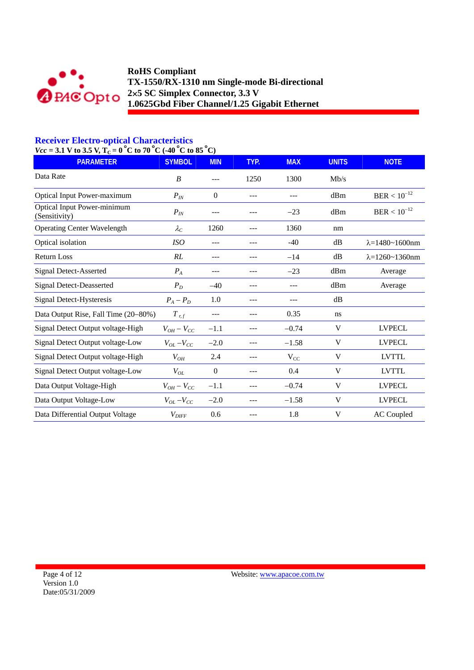

## **Receiver Electro-optical Characteristics**

| $Vec = 3.1$ V to 3.5 V, $T_c = 0$ °C to 70°C (-40°C to 85°C) |                     |                  |       |            |              |                               |
|--------------------------------------------------------------|---------------------|------------------|-------|------------|--------------|-------------------------------|
| <b>PARAMETER</b>                                             | <b>SYMBOL</b>       | <b>MIN</b>       | TYP.  | <b>MAX</b> | <b>UNITS</b> | <b>NOTE</b>                   |
| Data Rate                                                    | B                   | ---              | 1250  | 1300       | Mb/s         |                               |
| <b>Optical Input Power-maximum</b>                           | $P_{IN}$            | $\boldsymbol{0}$ |       |            | dBm          | $\mathrm{BER} < 10^{-12}$     |
| <b>Optical Input Power-minimum</b><br>(Sensitivity)          | $P_{IN}$            | ---              |       | $-23$      | dBm          | $BER < 10^{-12}$              |
| <b>Operating Center Wavelength</b>                           | $\lambda_C$         | 1260             |       | 1360       | nm           |                               |
| Optical isolation                                            | ISO                 | $---$            | ---   | $-40$      | dB           | $\lambda = 1480 - 1600$ nm    |
| <b>Return Loss</b>                                           | RL                  | ---              | $---$ | $-14$      | dB           | $\lambda = 1260 \sim 1360$ nm |
| <b>Signal Detect-Asserted</b>                                | $P_A$               | ---              | $---$ | $-23$      | dBm          | Average                       |
| <b>Signal Detect-Deasserted</b>                              | $P_D$               | $-40$            | $---$ | ---        | dBm          | Average                       |
| Signal Detect-Hysteresis                                     | $P_A - P_D$         | 1.0              | ---   | ---        | dB           |                               |
| Data Output Rise, Fall Time (20-80%)                         | $T_{r,f}$           |                  |       | 0.35       | ns           |                               |
| Signal Detect Output voltage-High                            | $V_{OH}-V_{CC}$     | $-1.1$           |       | $-0.74$    | V            | <b>LVPECL</b>                 |
| Signal Detect Output voltage-Low                             | $V_{OL}$ – $V_{CC}$ | $-2.0$           |       | $-1.58$    | V            | <b>LVPECL</b>                 |
| Signal Detect Output voltage-High                            | $V_{OH}$            | 2.4              | ---   | $V_{CC}$   | V            | <b>LVTTL</b>                  |
| Signal Detect Output voltage-Low                             | $V_{OL}$            | $\boldsymbol{0}$ | $---$ | 0.4        | V            | <b>LVTTL</b>                  |
| Data Output Voltage-High                                     | $V_{OH}-V_{CC}$     | $-1.1$           | ---   | $-0.74$    | V            | <b>LVPECL</b>                 |
| Data Output Voltage-Low                                      | $V_{OL}$ – $V_{CC}$ | $-2.0$           | ---   | $-1.58$    | V            | <b>LVPECL</b>                 |
| Data Differential Output Voltage                             | $V_{DIFF}$          | 0.6              |       | 1.8        | V            | <b>AC</b> Coupled             |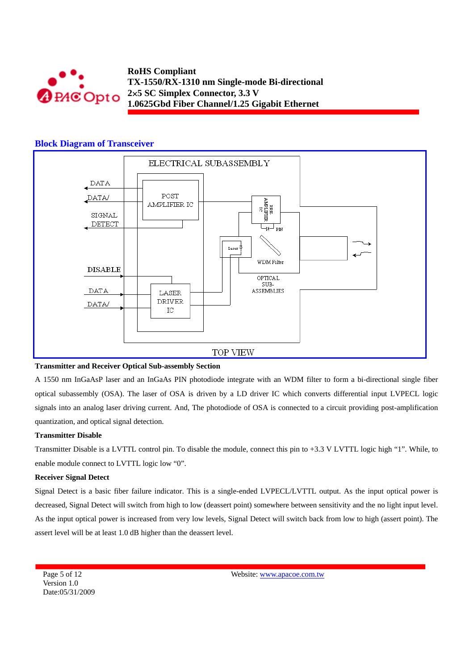

#### **Block Diagram of Transceiver**



#### **Transmitter and Receiver Optical Sub-assembly Section**

A 1550 nm InGaAsP laser and an InGaAs PIN photodiode integrate with an WDM filter to form a bi-directional single fiber optical subassembly (OSA). The laser of OSA is driven by a LD driver IC which converts differential input LVPECL logic signals into an analog laser driving current. And, The photodiode of OSA is connected to a circuit providing post-amplification quantization, and optical signal detection.

#### **Transmitter Disable**

Transmitter Disable is a LVTTL control pin. To disable the module, connect this pin to +3.3 V LVTTL logic high "1". While, to enable module connect to LVTTL logic low "0".

#### **Receiver Signal Detect**

Signal Detect is a basic fiber failure indicator. This is a single-ended LVPECL/LVTTL output. As the input optical power is decreased, Signal Detect will switch from high to low (deassert point) somewhere between sensitivity and the no light input level. As the input optical power is increased from very low levels, Signal Detect will switch back from low to high (assert point). The assert level will be at least 1.0 dB higher than the deassert level.

Page 5 of 12 Version 1.0 Date:05/31/2009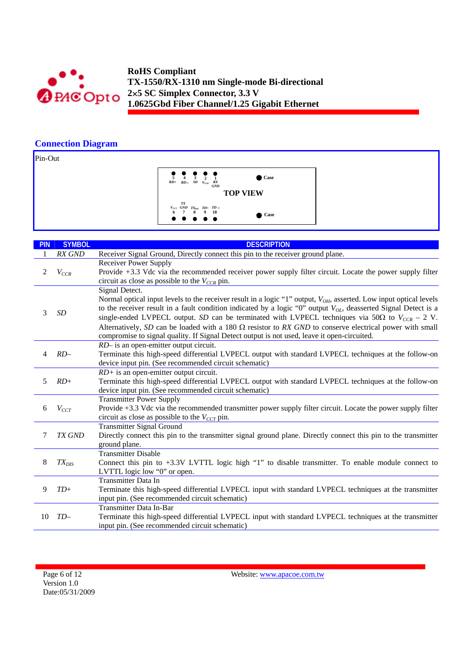

## **Connection Diagram**

Pin-Out

**TOP VIEW 1 Case** *RX GND*  $\frac{5}{RD}$  **4**  $\frac{3}{SD}$  **2**<br>*RD*+ *RD SD V<sub>CCR</sub> TD+*  **9** *TXDIS* **8**  $V_{ccT}$  *GND*  $TX_{DIS}$  *TD*+ *TD* − **6** *T* 8 9 10 **<sup>10</sup> Case**

| <b>PIN</b>  | <b>SYMBOL</b>              | <b>DESCRIPTION</b>                                                                                                                                                 |
|-------------|----------------------------|--------------------------------------------------------------------------------------------------------------------------------------------------------------------|
| 1           | RX GND                     | Receiver Signal Ground, Directly connect this pin to the receiver ground plane.                                                                                    |
|             |                            | <b>Receiver Power Supply</b>                                                                                                                                       |
| 2           | $V_{CCR}$                  | Provide +3.3 Vdc via the recommended receiver power supply filter circuit. Locate the power supply filter                                                          |
|             |                            | circuit as close as possible to the $V_{CCR}$ pin.                                                                                                                 |
|             |                            | Signal Detect.                                                                                                                                                     |
|             |                            | Normal optical input levels to the receiver result in a logic "1" output, V <sub>OH</sub> , asserted. Low input optical levels                                     |
| 3           | SD                         | to the receiver result in a fault condition indicated by a logic "0" output $V_{OL}$ , deasserted Signal Detect is a                                               |
|             |                            | single-ended LVPECL output. SD can be terminated with LVPECL techniques via 50 $\Omega$ to $V_{CCR}$ – 2 V.                                                        |
|             |                            | Alternatively, SD can be loaded with a 180 $\Omega$ resistor to RX GND to conserve electrical power with small                                                     |
|             |                            | compromise to signal quality. If Signal Detect output is not used, leave it open-circuited.                                                                        |
|             |                            | RD- is an open-emitter output circuit.                                                                                                                             |
| $RD-$<br>4  |                            | Terminate this high-speed differential LVPECL output with standard LVPECL techniques at the follow-on                                                              |
|             |                            | device input pin. (See recommended circuit schematic)                                                                                                              |
| 5<br>$RD+$  |                            | $RD$ + is an open-emitter output circuit.                                                                                                                          |
|             |                            | Terminate this high-speed differential LVPECL output with standard LVPECL techniques at the follow-on                                                              |
|             |                            | device input pin. (See recommended circuit schematic)                                                                                                              |
|             |                            | <b>Transmitter Power Supply</b>                                                                                                                                    |
| 6           | $V_{CCT}$                  | Provide +3.3 Vdc via the recommended transmitter power supply filter circuit. Locate the power supply filter<br>circuit as close as possible to the $V_{CCT}$ pin. |
|             |                            | <b>Transmitter Signal Ground</b>                                                                                                                                   |
| 7           | TX GND                     | Directly connect this pin to the transmitter signal ground plane. Directly connect this pin to the transmitter                                                     |
|             |                            | ground plane.                                                                                                                                                      |
|             | <b>Transmitter Disable</b> |                                                                                                                                                                    |
| 8           | $TX_{DIS}$                 | Connect this pin to $+3.3V$ LVTTL logic high "1" to disable transmitter. To enable module connect to                                                               |
|             |                            | LVTTL logic low "0" or open.                                                                                                                                       |
|             |                            | <b>Transmitter Data In</b>                                                                                                                                         |
| 9           | $TD+$                      | Terminate this high-speed differential LVPECL input with standard LVPECL techniques at the transmitter                                                             |
|             |                            | input pin. (See recommended circuit schematic)                                                                                                                     |
|             |                            | Transmitter Data In-Bar                                                                                                                                            |
| 10<br>$TD-$ |                            | Terminate this high-speed differential LVPECL input with standard LVPECL techniques at the transmitter                                                             |
|             |                            | input pin. (See recommended circuit schematic)                                                                                                                     |

Page 6 of 12 Version 1.0 Date:05/31/2009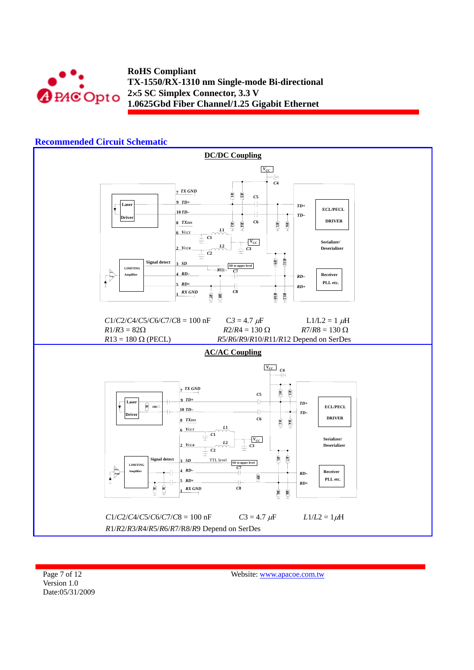



Page 7 of 12 Version 1.0 Date:05/31/2009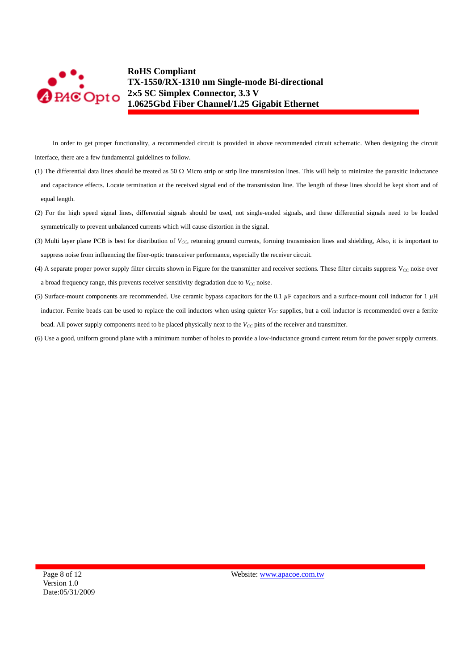

In order to get proper functionality, a recommended circuit is provided in above recommended circuit schematic. When designing the circuit interface, there are a few fundamental guidelines to follow.

- (1) The differential data lines should be treated as 50  $\Omega$  Micro strip or strip line transmission lines. This will help to minimize the parasitic inductance and capacitance effects. Locate termination at the received signal end of the transmission line. The length of these lines should be kept short and of equal length.
- (2) For the high speed signal lines, differential signals should be used, not single-ended signals, and these differential signals need to be loaded symmetrically to prevent unbalanced currents which will cause distortion in the signal.
- (3) Multi layer plane PCB is best for distribution of *V<sub>CC</sub>*, returning ground currents, forming transmission lines and shielding, Also, it is important to suppress noise from influencing the fiber-optic transceiver performance, especially the receiver circuit.
- (4) A separate proper power supply filter circuits shown in Figure for the transmitter and receiver sections. These filter circuits suppress  $V_{CC}$  noise over a broad frequency range, this prevents receiver sensitivity degradation due to  $V_{CC}$  noise.
- (5) Surface-mount components are recommended. Use ceramic bypass capacitors for the 0.1 *µ*F capacitors and a surface-mount coil inductor for 1 *µ*H inductor. Ferrite beads can be used to replace the coil inductors when using quieter  $V_{CC}$  supplies, but a coil inductor is recommended over a ferrite bead. All power supply components need to be placed physically next to the  $V_{CC}$  pins of the receiver and transmitter.
- (6) Use a good, uniform ground plane with a minimum number of holes to provide a low-inductance ground current return for the power supply currents.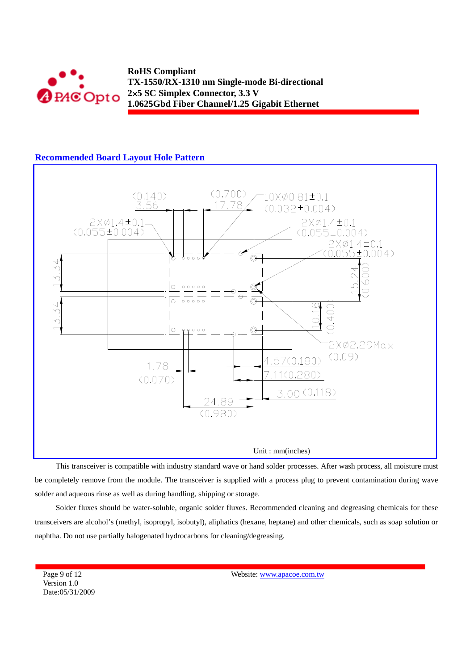

## **Recommended Board Layout Hole Pattern**



This transceiver is compatible with industry standard wave or hand solder processes. After wash process, all moisture must be completely remove from the module. The transceiver is supplied with a process plug to prevent contamination during wave solder and aqueous rinse as well as during handling, shipping or storage.

Solder fluxes should be water-soluble, organic solder fluxes. Recommended cleaning and degreasing chemicals for these transceivers are alcohol's (methyl, isopropyl, isobutyl), aliphatics (hexane, heptane) and other chemicals, such as soap solution or naphtha. Do not use partially halogenated hydrocarbons for cleaning/degreasing.

Page 9 of 12 Version 1.0 Date:05/31/2009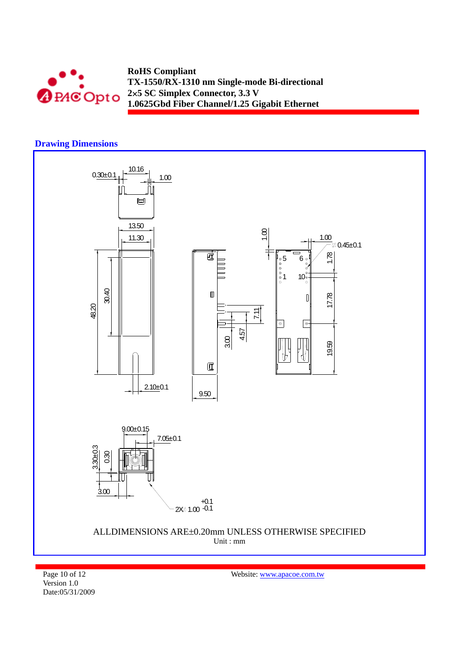

## **Drawing Dimensions**



Page 10 of 12 Version 1.0 Date:05/31/2009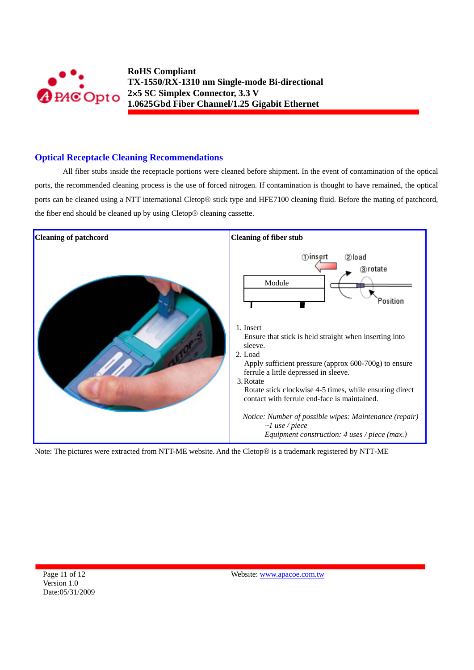![](_page_10_Picture_0.jpeg)

## **Optical Receptacle Cleaning Recommendations**

All fiber stubs inside the receptacle portions were cleaned before shipment. In the event of contamination of the optical ports, the recommended cleaning process is the use of forced nitrogen. If contamination is thought to have remained, the optical ports can be cleaned using a NTT international Cletop® stick type and HFE7100 cleaning fluid. Before the mating of patchcord, the fiber end should be cleaned up by using Cletop® cleaning cassette.

![](_page_10_Figure_4.jpeg)

Note: The pictures were extracted from NTT-ME website. And the Cletop® is a trademark registered by NTT-ME